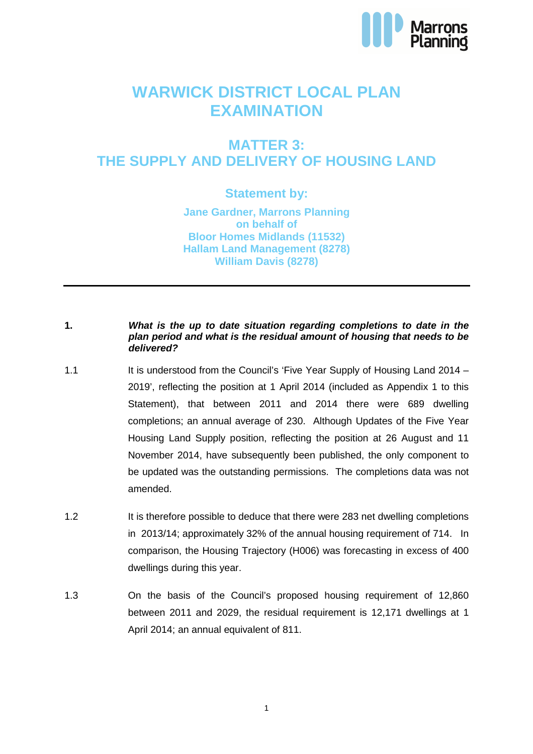

# **WARWICK DISTRICT LOCAL PLAN EXAMINATION**

### **MATTER 3: THE SUPPLY AND DELIVERY OF HOUSING LAND**

### **Statement by:**

**Jane Gardner, Marrons Planning on behalf of Bloor Homes Midlands (11532) Hallam Land Management (8278) William Davis (8278)**

#### **1. What is the up to date situation regarding completions to date in the plan period and what is the residual amount of housing that needs to be delivered?**

- 1.1 It is understood from the Council's 'Five Year Supply of Housing Land 2014 2019', reflecting the position at 1 April 2014 (included as Appendix 1 to this Statement), that between 2011 and 2014 there were 689 dwelling completions; an annual average of 230. Although Updates of the Five Year Housing Land Supply position, reflecting the position at 26 August and 11 November 2014, have subsequently been published, the only component to be updated was the outstanding permissions. The completions data was not amended.
- 1.2 It is therefore possible to deduce that there were 283 net dwelling completions in 2013/14; approximately 32% of the annual housing requirement of 714. In comparison, the Housing Trajectory (H006) was forecasting in excess of 400 dwellings during this year.
- 1.3 On the basis of the Council's proposed housing requirement of 12,860 between 2011 and 2029, the residual requirement is 12,171 dwellings at 1 April 2014; an annual equivalent of 811.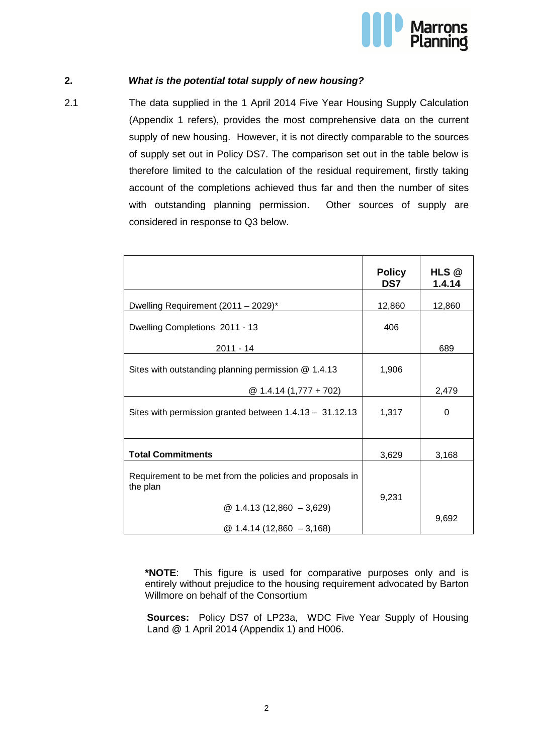

### **2. What is the potential total supply of new housing?**

2.1 The data supplied in the 1 April 2014 Five Year Housing Supply Calculation (Appendix 1 refers), provides the most comprehensive data on the current supply of new housing. However, it is not directly comparable to the sources of supply set out in Policy DS7. The comparison set out in the table below is therefore limited to the calculation of the residual requirement, firstly taking account of the completions achieved thus far and then the number of sites with outstanding planning permission. Other sources of supply are considered in response to Q3 below.

|                                                                      | <b>Policy</b><br>DS7 | HLS @<br>1.4.14 |
|----------------------------------------------------------------------|----------------------|-----------------|
| Dwelling Requirement (2011 - 2029)*                                  | 12,860               | 12,860          |
| Dwelling Completions 2011 - 13                                       | 406                  |                 |
| 2011 - 14                                                            |                      | 689             |
| Sites with outstanding planning permission @ 1.4.13                  | 1,906                |                 |
| $@ 1.4.14 (1,777 + 702)$                                             |                      | 2,479           |
| Sites with permission granted between $1.4.13 - 31.12.13$            | 1,317                | $\Omega$        |
| <b>Total Commitments</b>                                             | 3,629                | 3,168           |
| Requirement to be met from the policies and proposals in<br>the plan |                      |                 |
| $@ 1.4.13(12,860 - 3,629)$<br>$@1.4.14(12,860 - 3,168)$              | 9,231                | 9,692           |

**\*NOTE**: This figure is used for comparative purposes only and is entirely without prejudice to the housing requirement advocated by Barton Willmore on behalf of the Consortium

**Sources:** Policy DS7 of LP23a, WDC Five Year Supply of Housing Land @ 1 April 2014 (Appendix 1) and H006.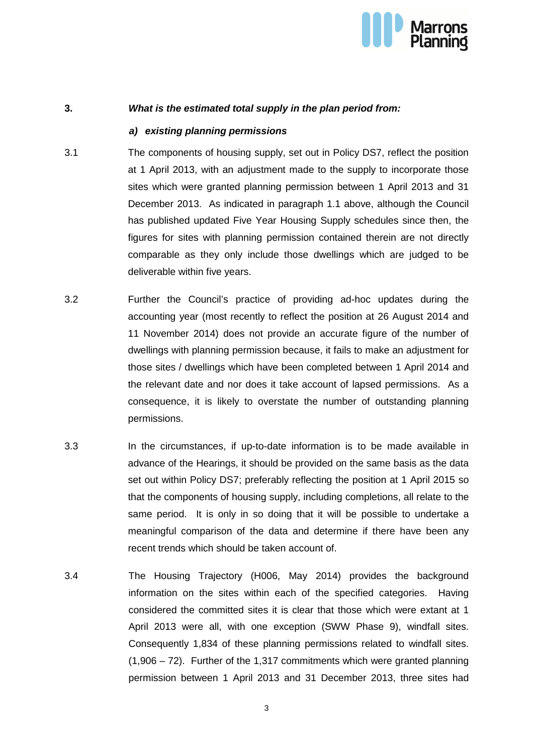

#### **3. What is the estimated total supply in the plan period from:**

#### **a) existing planning permissions**

- 3.1 The components of housing supply, set out in Policy DS7, reflect the position at 1 April 2013, with an adjustment made to the supply to incorporate those sites which were granted planning permission between 1 April 2013 and 31 December 2013. As indicated in paragraph 1.1 above, although the Council has published updated Five Year Housing Supply schedules since then, the figures for sites with planning permission contained therein are not directly comparable as they only include those dwellings which are judged to be deliverable within five years.
- 3.2 Further the Council's practice of providing ad-hoc updates during the accounting year (most recently to reflect the position at 26 August 2014 and 11 November 2014) does not provide an accurate figure of the number of dwellings with planning permission because, it fails to make an adjustment for those sites / dwellings which have been completed between 1 April 2014 and the relevant date and nor does it take account of lapsed permissions. As a consequence, it is likely to overstate the number of outstanding planning permissions.
- 3.3 In the circumstances, if up-to-date information is to be made available in advance of the Hearings, it should be provided on the same basis as the data set out within Policy DS7; preferably reflecting the position at 1 April 2015 so that the components of housing supply, including completions, all relate to the same period. It is only in so doing that it will be possible to undertake a meaningful comparison of the data and determine if there have been any recent trends which should be taken account of.
- 3.4 The Housing Trajectory (H006, May 2014) provides the background information on the sites within each of the specified categories. Having considered the committed sites it is clear that those which were extant at 1 April 2013 were all, with one exception (SWW Phase 9), windfall sites. Consequently 1,834 of these planning permissions related to windfall sites. (1,906 – 72). Further of the 1,317 commitments which were granted planning permission between 1 April 2013 and 31 December 2013, three sites had

3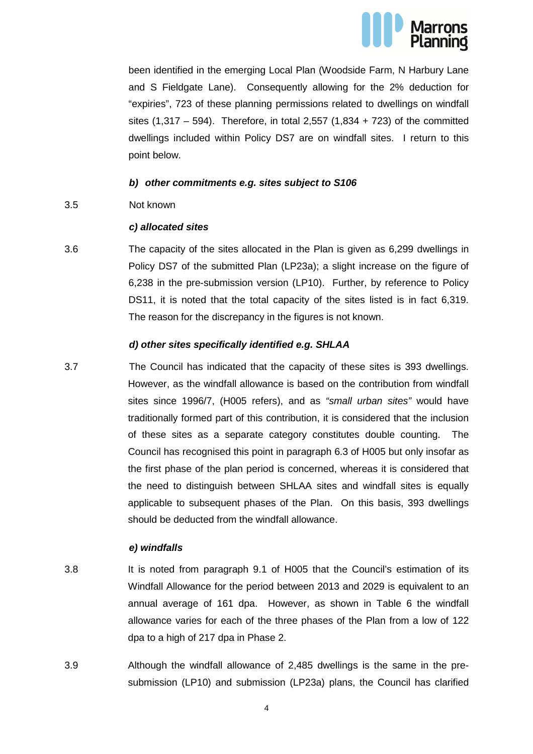

been identified in the emerging Local Plan (Woodside Farm, N Harbury Lane and S Fieldgate Lane). Consequently allowing for the 2% deduction for "expiries", 723 of these planning permissions related to dwellings on windfall sites  $(1,317 - 594)$ . Therefore, in total 2,557  $(1,834 + 723)$  of the committed dwellings included within Policy DS7 are on windfall sites. I return to this point below.

#### **b) other commitments e.g. sites subject to S106**

3.5 Not known

#### **c) allocated sites**

3.6 The capacity of the sites allocated in the Plan is given as 6,299 dwellings in Policy DS7 of the submitted Plan (LP23a); a slight increase on the figure of 6,238 in the pre-submission version (LP10). Further, by reference to Policy DS11, it is noted that the total capacity of the sites listed is in fact 6,319. The reason for the discrepancy in the figures is not known.

#### **d) other sites specifically identified e.g. SHLAA**

3.7 The Council has indicated that the capacity of these sites is 393 dwellings. However, as the windfall allowance is based on the contribution from windfall sites since 1996/7, (H005 refers), and as "small urban sites" would have traditionally formed part of this contribution, it is considered that the inclusion of these sites as a separate category constitutes double counting. The Council has recognised this point in paragraph 6.3 of H005 but only insofar as the first phase of the plan period is concerned, whereas it is considered that the need to distinguish between SHLAA sites and windfall sites is equally applicable to subsequent phases of the Plan. On this basis, 393 dwellings should be deducted from the windfall allowance.

#### **e) windfalls**

- 3.8 It is noted from paragraph 9.1 of H005 that the Council's estimation of its Windfall Allowance for the period between 2013 and 2029 is equivalent to an annual average of 161 dpa. However, as shown in Table 6 the windfall allowance varies for each of the three phases of the Plan from a low of 122 dpa to a high of 217 dpa in Phase 2.
- 3.9 Although the windfall allowance of 2,485 dwellings is the same in the presubmission (LP10) and submission (LP23a) plans, the Council has clarified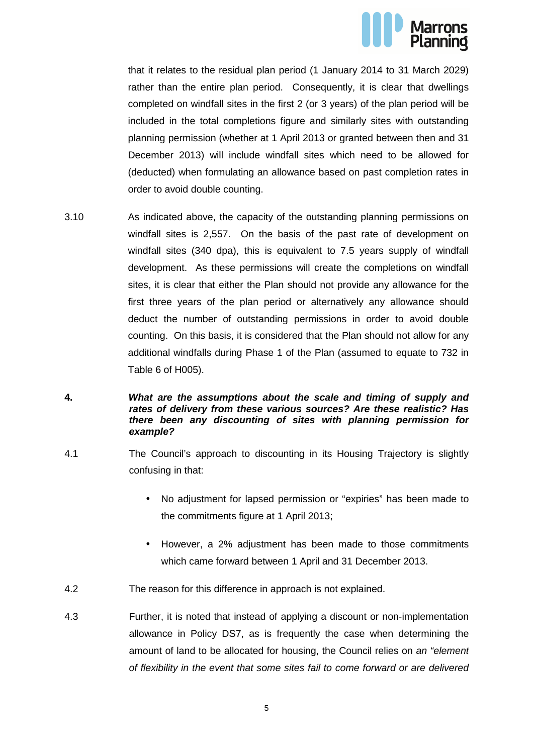

that it relates to the residual plan period (1 January 2014 to 31 March 2029) rather than the entire plan period. Consequently, it is clear that dwellings completed on windfall sites in the first 2 (or 3 years) of the plan period will be included in the total completions figure and similarly sites with outstanding planning permission (whether at 1 April 2013 or granted between then and 31 December 2013) will include windfall sites which need to be allowed for (deducted) when formulating an allowance based on past completion rates in order to avoid double counting.

3.10 As indicated above, the capacity of the outstanding planning permissions on windfall sites is 2,557. On the basis of the past rate of development on windfall sites (340 dpa), this is equivalent to 7.5 years supply of windfall development. As these permissions will create the completions on windfall sites, it is clear that either the Plan should not provide any allowance for the first three years of the plan period or alternatively any allowance should deduct the number of outstanding permissions in order to avoid double counting. On this basis, it is considered that the Plan should not allow for any additional windfalls during Phase 1 of the Plan (assumed to equate to 732 in Table 6 of H005).

#### **4. What are the assumptions about the scale and timing of supply and rates of delivery from these various sources? Are these realistic? Has there been any discounting of sites with planning permission for example?**

- 4.1 The Council's approach to discounting in its Housing Trajectory is slightly confusing in that:
	- No adjustment for lapsed permission or "expiries" has been made to the commitments figure at 1 April 2013;
	- However, a 2% adjustment has been made to those commitments which came forward between 1 April and 31 December 2013.
- 4.2 The reason for this difference in approach is not explained.
- 4.3 Further, it is noted that instead of applying a discount or non-implementation allowance in Policy DS7, as is frequently the case when determining the amount of land to be allocated for housing, the Council relies on an "element" of flexibility in the event that some sites fail to come forward or are delivered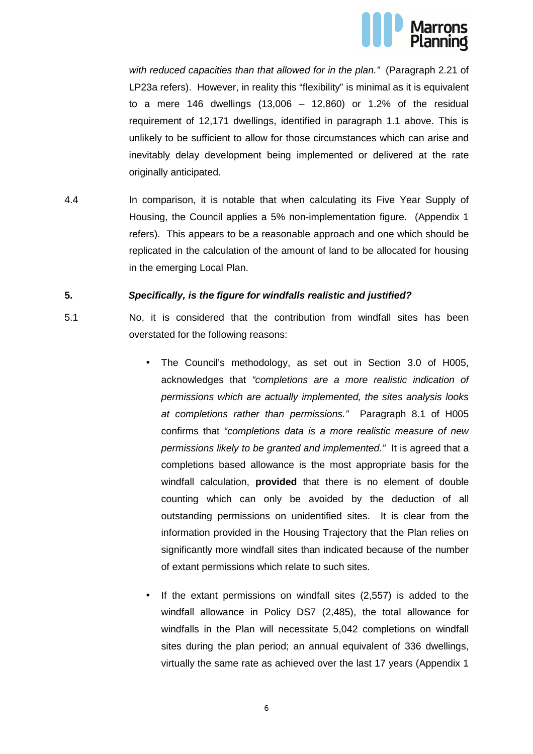

with reduced capacities than that allowed for in the plan." (Paragraph 2.21 of LP23a refers). However, in reality this "flexibility" is minimal as it is equivalent to a mere 146 dwellings (13,006 – 12,860) or 1.2% of the residual requirement of 12,171 dwellings, identified in paragraph 1.1 above. This is unlikely to be sufficient to allow for those circumstances which can arise and inevitably delay development being implemented or delivered at the rate originally anticipated.

4.4 In comparison, it is notable that when calculating its Five Year Supply of Housing, the Council applies a 5% non-implementation figure. (Appendix 1 refers). This appears to be a reasonable approach and one which should be replicated in the calculation of the amount of land to be allocated for housing in the emerging Local Plan.

#### **5. Specifically, is the figure for windfalls realistic and justified?**

- 5.1 No, it is considered that the contribution from windfall sites has been overstated for the following reasons:
	- The Council's methodology, as set out in Section 3.0 of H005, acknowledges that "completions are a more realistic indication of permissions which are actually implemented, the sites analysis looks at completions rather than permissions." Paragraph 8.1 of H005 confirms that "completions data is a more realistic measure of new permissions likely to be granted and implemented." It is agreed that a completions based allowance is the most appropriate basis for the windfall calculation, **provided** that there is no element of double counting which can only be avoided by the deduction of all outstanding permissions on unidentified sites. It is clear from the information provided in the Housing Trajectory that the Plan relies on significantly more windfall sites than indicated because of the number of extant permissions which relate to such sites.
	- If the extant permissions on windfall sites (2,557) is added to the windfall allowance in Policy DS7 (2,485), the total allowance for windfalls in the Plan will necessitate 5,042 completions on windfall sites during the plan period; an annual equivalent of 336 dwellings, virtually the same rate as achieved over the last 17 years (Appendix 1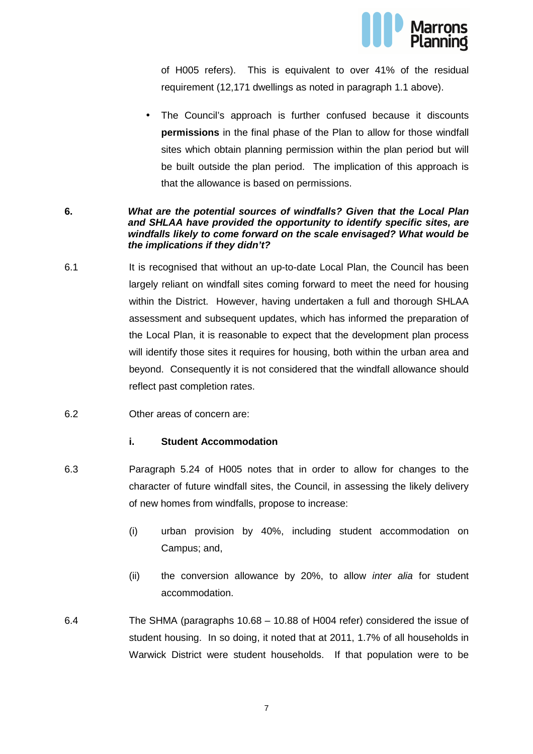

of H005 refers). This is equivalent to over 41% of the residual requirement (12,171 dwellings as noted in paragraph 1.1 above).

• The Council's approach is further confused because it discounts **permissions** in the final phase of the Plan to allow for those windfall sites which obtain planning permission within the plan period but will be built outside the plan period. The implication of this approach is that the allowance is based on permissions.

#### **6. What are the potential sources of windfalls? Given that the Local Plan and SHLAA have provided the opportunity to identify specific sites, are windfalls likely to come forward on the scale envisaged? What would be the implications if they didn't?**

- 6.1 It is recognised that without an up-to-date Local Plan, the Council has been largely reliant on windfall sites coming forward to meet the need for housing within the District. However, having undertaken a full and thorough SHLAA assessment and subsequent updates, which has informed the preparation of the Local Plan, it is reasonable to expect that the development plan process will identify those sites it requires for housing, both within the urban area and beyond. Consequently it is not considered that the windfall allowance should reflect past completion rates.
- 6.2 Other areas of concern are:

#### **i. Student Accommodation**

- 6.3 Paragraph 5.24 of H005 notes that in order to allow for changes to the character of future windfall sites, the Council, in assessing the likely delivery of new homes from windfalls, propose to increase:
	- (i) urban provision by 40%, including student accommodation on Campus; and,
	- (ii) the conversion allowance by 20%, to allow *inter alia* for student accommodation.
- 6.4 The SHMA (paragraphs 10.68 10.88 of H004 refer) considered the issue of student housing. In so doing, it noted that at 2011, 1.7% of all households in Warwick District were student households. If that population were to be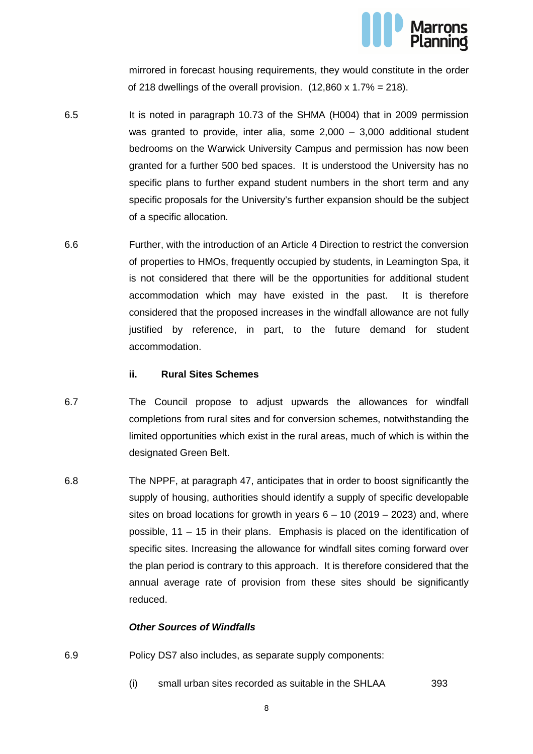

mirrored in forecast housing requirements, they would constitute in the order of 218 dwellings of the overall provision.  $(12,860 \times 1.7\% = 218)$ .

- 6.5 It is noted in paragraph 10.73 of the SHMA (H004) that in 2009 permission was granted to provide, inter alia, some 2,000 – 3,000 additional student bedrooms on the Warwick University Campus and permission has now been granted for a further 500 bed spaces. It is understood the University has no specific plans to further expand student numbers in the short term and any specific proposals for the University's further expansion should be the subject of a specific allocation.
- 6.6 Further, with the introduction of an Article 4 Direction to restrict the conversion of properties to HMOs, frequently occupied by students, in Leamington Spa, it is not considered that there will be the opportunities for additional student accommodation which may have existed in the past. It is therefore considered that the proposed increases in the windfall allowance are not fully justified by reference, in part, to the future demand for student accommodation.

#### **ii. Rural Sites Schemes**

- 6.7 The Council propose to adjust upwards the allowances for windfall completions from rural sites and for conversion schemes, notwithstanding the limited opportunities which exist in the rural areas, much of which is within the designated Green Belt.
- 6.8 The NPPF, at paragraph 47, anticipates that in order to boost significantly the supply of housing, authorities should identify a supply of specific developable sites on broad locations for growth in years  $6 - 10$  (2019 – 2023) and, where possible, 11 – 15 in their plans. Emphasis is placed on the identification of specific sites. Increasing the allowance for windfall sites coming forward over the plan period is contrary to this approach. It is therefore considered that the annual average rate of provision from these sites should be significantly reduced.

#### **Other Sources of Windfalls**

- 6.9 Policy DS7 also includes, as separate supply components:
	- (i) small urban sites recorded as suitable in the SHLAA 393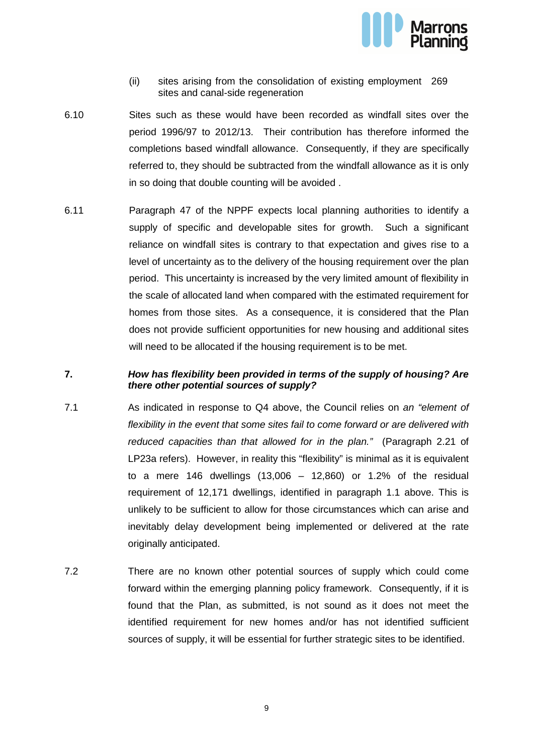

- (ii) sites arising from the consolidation of existing employment 269 sites and canal-side regeneration
- 6.10 Sites such as these would have been recorded as windfall sites over the period 1996/97 to 2012/13. Their contribution has therefore informed the completions based windfall allowance. Consequently, if they are specifically referred to, they should be subtracted from the windfall allowance as it is only in so doing that double counting will be avoided .
- 6.11 Paragraph 47 of the NPPF expects local planning authorities to identify a supply of specific and developable sites for growth. Such a significant reliance on windfall sites is contrary to that expectation and gives rise to a level of uncertainty as to the delivery of the housing requirement over the plan period. This uncertainty is increased by the very limited amount of flexibility in the scale of allocated land when compared with the estimated requirement for homes from those sites. As a consequence, it is considered that the Plan does not provide sufficient opportunities for new housing and additional sites will need to be allocated if the housing requirement is to be met.

#### **7. How has flexibility been provided in terms of the supply of housing? Are there other potential sources of supply?**

- 7.1 As indicated in response to Q4 above, the Council relies on an "element of flexibility in the event that some sites fail to come forward or are delivered with reduced capacities than that allowed for in the plan." (Paragraph 2.21 of LP23a refers). However, in reality this "flexibility" is minimal as it is equivalent to a mere 146 dwellings  $(13,006 - 12,860)$  or 1.2% of the residual requirement of 12,171 dwellings, identified in paragraph 1.1 above. This is unlikely to be sufficient to allow for those circumstances which can arise and inevitably delay development being implemented or delivered at the rate originally anticipated.
- 7.2 There are no known other potential sources of supply which could come forward within the emerging planning policy framework. Consequently, if it is found that the Plan, as submitted, is not sound as it does not meet the identified requirement for new homes and/or has not identified sufficient sources of supply, it will be essential for further strategic sites to be identified.

9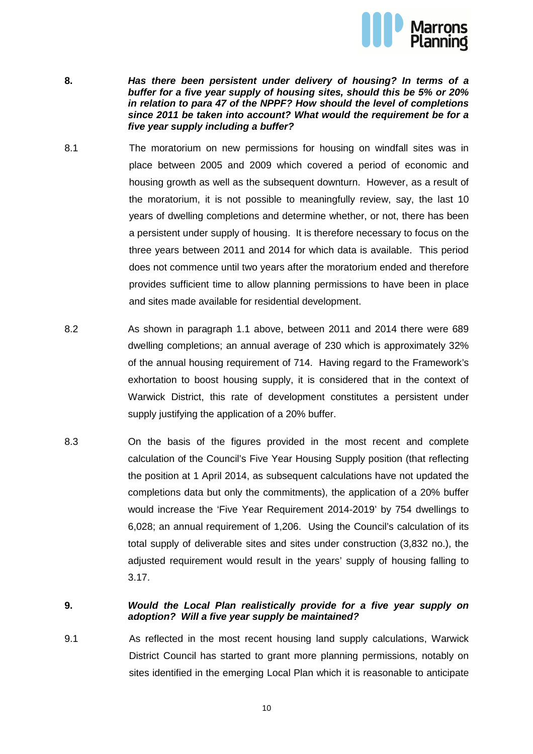

- **8. Has there been persistent under delivery of housing? In terms of a buffer for a five year supply of housing sites, should this be 5% or 20% in relation to para 47 of the NPPF? How should the level of completions since 2011 be taken into account? What would the requirement be for a five year supply including a buffer?**
- 8.1 The moratorium on new permissions for housing on windfall sites was in place between 2005 and 2009 which covered a period of economic and housing growth as well as the subsequent downturn. However, as a result of the moratorium, it is not possible to meaningfully review, say, the last 10 years of dwelling completions and determine whether, or not, there has been a persistent under supply of housing. It is therefore necessary to focus on the three years between 2011 and 2014 for which data is available. This period does not commence until two years after the moratorium ended and therefore provides sufficient time to allow planning permissions to have been in place and sites made available for residential development.
- 8.2 As shown in paragraph 1.1 above, between 2011 and 2014 there were 689 dwelling completions; an annual average of 230 which is approximately 32% of the annual housing requirement of 714. Having regard to the Framework's exhortation to boost housing supply, it is considered that in the context of Warwick District, this rate of development constitutes a persistent under supply justifying the application of a 20% buffer.
- 8.3 On the basis of the figures provided in the most recent and complete calculation of the Council's Five Year Housing Supply position (that reflecting the position at 1 April 2014, as subsequent calculations have not updated the completions data but only the commitments), the application of a 20% buffer would increase the 'Five Year Requirement 2014-2019' by 754 dwellings to 6,028; an annual requirement of 1,206. Using the Council's calculation of its total supply of deliverable sites and sites under construction (3,832 no.), the adjusted requirement would result in the years' supply of housing falling to 3.17.

#### **9. Would the Local Plan realistically provide for a five year supply on adoption? Will a five year supply be maintained?**

9.1 As reflected in the most recent housing land supply calculations, Warwick District Council has started to grant more planning permissions, notably on sites identified in the emerging Local Plan which it is reasonable to anticipate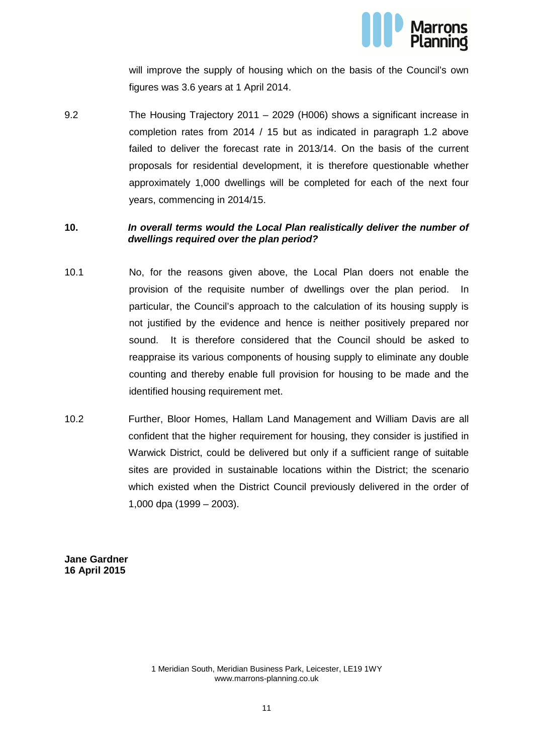

will improve the supply of housing which on the basis of the Council's own figures was 3.6 years at 1 April 2014.

9.2 The Housing Trajectory 2011 – 2029 (H006) shows a significant increase in completion rates from 2014 / 15 but as indicated in paragraph 1.2 above failed to deliver the forecast rate in 2013/14. On the basis of the current proposals for residential development, it is therefore questionable whether approximately 1,000 dwellings will be completed for each of the next four years, commencing in 2014/15.

#### **10. In overall terms would the Local Plan realistically deliver the number of dwellings required over the plan period?**

- 10.1 No, for the reasons given above, the Local Plan doers not enable the provision of the requisite number of dwellings over the plan period. In particular, the Council's approach to the calculation of its housing supply is not justified by the evidence and hence is neither positively prepared nor sound. It is therefore considered that the Council should be asked to reappraise its various components of housing supply to eliminate any double counting and thereby enable full provision for housing to be made and the identified housing requirement met.
- 10.2 Further, Bloor Homes, Hallam Land Management and William Davis are all confident that the higher requirement for housing, they consider is justified in Warwick District, could be delivered but only if a sufficient range of suitable sites are provided in sustainable locations within the District; the scenario which existed when the District Council previously delivered in the order of 1,000 dpa (1999 – 2003).

**Jane Gardner 16 April 2015** 

> 1 Meridian South, Meridian Business Park, Leicester, LE19 1WY www.marrons-planning.co.uk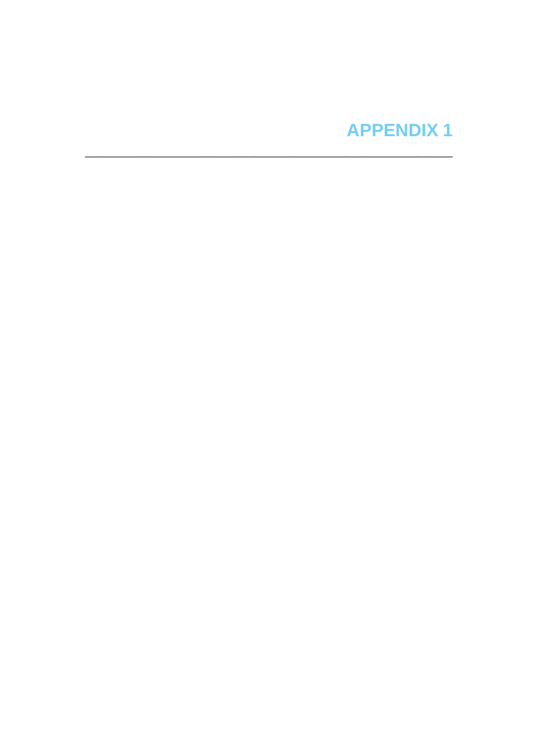# **APPENDIX1**